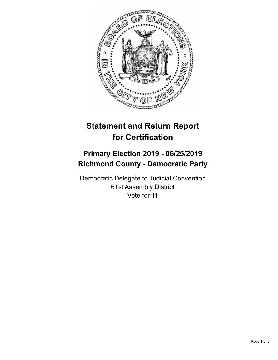

# **Statement and Return Report for Certification**

## **Primary Election 2019 - 06/25/2019 Richmond County - Democratic Party**

Democratic Delegate to Judicial Convention 61st Assembly District Vote for 11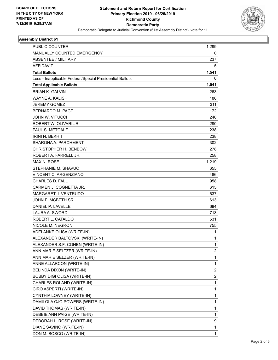

#### **Assembly District 61**

| PUBLIC COUNTER                                           | 1.299 |
|----------------------------------------------------------|-------|
| MANUALLY COUNTED EMERGENCY                               | 0     |
| <b>ABSENTEE / MILITARY</b>                               | 237   |
| <b>AFFIDAVIT</b>                                         | 5     |
| <b>Total Ballots</b>                                     | 1,541 |
| Less - Inapplicable Federal/Special Presidential Ballots | 0     |
| <b>Total Applicable Ballots</b>                          | 1,541 |
| <b>BRIAN K. GALVIN</b>                                   | 263   |
| <b>WAYNE A. KALISH</b>                                   | 186   |
| <b>JEREMY GOMEZ</b>                                      | 311   |
| <b>BERNARDO M. PACE</b>                                  | 172   |
| <b>JOHN W. VITUCCI</b>                                   | 240   |
| ROBERT W. OLIVARI JR.                                    | 290   |
| PAUL S. METCALF                                          | 238   |
| <b>IRINI N. BEKHIT</b>                                   | 238   |
| SHARONA A. PARCHMENT                                     | 302   |
| CHRISTOPHER H. BENBOW                                    | 278   |
| ROBERT A. FARRELL JR.                                    | 258   |
| <b>MAX N. ROSE</b>                                       | 1,219 |
| STEPHANIE M. SHAVUO                                      | 655   |
| <b>VINCENT C. ARGENZIANO</b>                             | 486   |
| <b>CHARLES D. FALL</b>                                   | 958   |
| CARMEN J. COGNETTA JR.                                   | 615   |
| <b>MARGARET J. VENTRUDO</b>                              | 637   |
| JOHN F. MCBETH SR.                                       | 613   |
| DANIEL P. LAVELLE                                        | 684   |
| LAURA A. SWORD                                           | 713   |
| ROBERT L. CATALDO                                        | 531   |
| NICOLE M. NEGRON                                         | 755   |
| ADELANKE OLISA (WRITE-IN)                                | 1     |
| ALEXANDER BALTOVSKI (WRITE-IN)                           | 1     |
| ALEXANDER S.F. COHEN (WRITE-IN)                          | 1     |
| ANN MARIE SELTZER (WRITE-IN)                             | 2     |
| ANN MARIE SELZER (WRITE-IN)                              | 1     |
| ANNE ALLARCON (WRITE-IN)                                 | 1     |
| BELINDA DIXON (WRITE-IN)                                 | 2     |
| <b>BOBBY DIGI OLISA (WRITE-IN)</b>                       | 2     |
| CHARLES ROLAND (WRITE-IN)                                | 1     |
| CIRO ASPERTI (WRITE-IN)                                  | 1     |
| CYNTHIA LOWNEY (WRITE-IN)                                | 1     |
| DAMILOLA OJO POWERS (WRITE-IN)                           | 1     |
| DAVID THOMAS (WRITE-IN)                                  | 1     |
| DEBBIE ANN PAIGE (WRITE-IN)                              | 1     |
| DEBORAH L. ROSE (WRITE-IN)                               | 9     |
| DIANE SAVINO (WRITE-IN)                                  | 1     |
| DON M. BOSCO (WRITE-IN)                                  | 1     |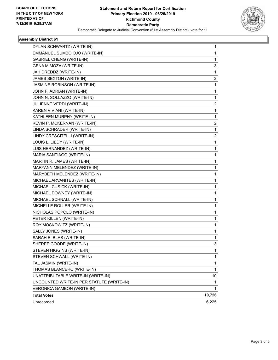

#### **Assembly District 61**

| DYLAN SCHWARTZ (WRITE-IN)                 | 1              |
|-------------------------------------------|----------------|
| EMMANUEL SUMBO OJO (WRITE-IN)             | 1              |
| <b>GABRIEL CHENG (WRITE-IN)</b>           | 1              |
| GENA MIMOZA (WRITE-IN)                    | 3              |
| JAH DREDDZ (WRITE-IN)                     | $\mathbf{1}$   |
| JAMES SEXTON (WRITE-IN)                   | $\overline{2}$ |
| JASMINE ROBINSON (WRITE-IN)               | $\mathbf{1}$   |
| JOHN F. ADRIAN (WRITE-IN)                 | 1              |
| JOHN N. SOLLAZZO (WRITE-IN)               | 1              |
| JULIENNE VERDI (WRITE-IN)                 | $\overline{2}$ |
| KAREN VIVIANI (WRITE-IN)                  | 1              |
| KATHLEEN MURPHY (WRITE-IN)                | 1              |
| KEVIN P. MCKERNAN (WRITE-IN)              | $\overline{2}$ |
| LINDA SCHRADER (WRITE-IN)                 | $\mathbf{1}$   |
| LINDY CRESCITELLI (WRITE-IN)              | $\overline{2}$ |
| LOUIS L. LIEDY (WRITE-IN)                 | $\mathbf{1}$   |
| LUIS HERNANDEZ (WRITE-IN)                 | 1              |
| MARIA SANTIAGO (WRITE-IN)                 | 1              |
| MARTIN R. JAMES (WRITE-IN)                | 1              |
| MARYANN MELENDEZ (WRITE-IN)               | 1              |
| MARYBETH MELENDEZ (WRITE-IN)              | 1              |
| MICHAEL ARVANITES (WRITE-IN)              | 1.             |
| MICHAEL CUSICK (WRITE-IN)                 | 1              |
| MICHAEL DOWNEY (WRITE-IN)                 | 1              |
| MICHAEL SCHNALL (WRITE-IN)                | 1              |
| MICHELLE ROLLER (WRITE-IN)                | $\mathbf{1}$   |
| NICHOLAS POPOLO (WRITE-IN)                | 1              |
| PETER KILLEN (WRITE-IN)                   | $\mathbf{1}$   |
| ROY MOSKOWITZ (WRITE-IN)                  | 1              |
| SALLY JONES (WRITE-IN)                    | 1              |
| SARAH E. BLAS (WRITE-IN)                  | 1              |
| SHEREE GOODE (WRITE-IN)                   | 3              |
| STEVEN HIGGINS (WRITE-IN)                 | 1              |
| STEVEN SCHWALL (WRITE-IN)                 | 1.             |
| TAL JASMIN (WRITE-IN)                     | 1              |
| THOMAS BLANCERO (WRITE-IN)                | 1              |
| UNATTRIBUTABLE WRITE-IN (WRITE-IN)        | 10             |
| UNCOUNTED WRITE-IN PER STATUTE (WRITE-IN) | 1              |
| <b>VERONICA GAMBON (WRITE-IN)</b>         | 1              |
| <b>Total Votes</b>                        | 10,726         |
| Unrecorded                                | 6,225          |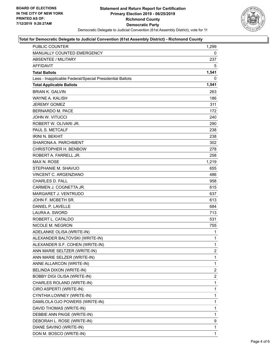

#### **Total for Democratic Delegate to Judicial Convention (61st Assembly District) - Richmond County**

| <b>PUBLIC COUNTER</b>                                    | 1,299          |
|----------------------------------------------------------|----------------|
| MANUALLY COUNTED EMERGENCY                               | 0              |
| <b>ABSENTEE / MILITARY</b>                               | 237            |
| <b>AFFIDAVIT</b>                                         | 5              |
| <b>Total Ballots</b>                                     | 1,541          |
| Less - Inapplicable Federal/Special Presidential Ballots | 0              |
| <b>Total Applicable Ballots</b>                          | 1,541          |
| <b>BRIAN K. GALVIN</b>                                   | 263            |
| <b>WAYNE A. KALISH</b>                                   | 186            |
| <b>JEREMY GOMEZ</b>                                      | 311            |
| BERNARDO M. PACE                                         | 172            |
| <b>JOHN W. VITUCCI</b>                                   | 240            |
| ROBERT W. OLIVARI JR.                                    | 290            |
| PAUL S. METCALF                                          | 238            |
| <b>IRINI N. BEKHIT</b>                                   | 238            |
| SHARONA A. PARCHMENT                                     | 302            |
| CHRISTOPHER H. BENBOW                                    | 278            |
| ROBERT A. FARRELL JR.                                    | 258            |
| MAX N. ROSE                                              | 1.219          |
| STEPHANIE M. SHAVUO                                      | 655            |
| VINCENT C. ARGENZIANO                                    | 486            |
| <b>CHARLES D. FALL</b>                                   | 958            |
| CARMEN J. COGNETTA JR.                                   | 615            |
| MARGARET J. VENTRUDO                                     | 637            |
| JOHN F. MCBETH SR.                                       | 613            |
| DANIEL P. LAVELLE                                        | 684            |
| LAURA A. SWORD                                           | 713            |
| ROBERT L. CATALDO                                        | 531            |
| NICOLE M. NEGRON                                         | 755            |
| ADELANKE OLISA (WRITE-IN)                                | 1              |
| ALEXANDER BALTOVSKI (WRITE-IN)                           | $\mathbf{1}$   |
| ALEXANDER S.F. COHEN (WRITE-IN)                          | 1              |
| ANN MARIE SELTZER (WRITE-IN)                             | $\overline{2}$ |
| ANN MARIE SELZER (WRITE-IN)                              | 1              |
| ANNE ALLARCON (WRITE-IN)                                 | 1              |
| BELINDA DIXON (WRITE-IN)                                 | $\overline{2}$ |
| BOBBY DIGI OLISA (WRITE-IN)                              | 2              |
| CHARLES ROLAND (WRITE-IN)                                | 1              |
| CIRO ASPERTI (WRITE-IN)                                  | 1              |
| CYNTHIA LOWNEY (WRITE-IN)                                | 1              |
| DAMILOLA OJO POWERS (WRITE-IN)                           | 1              |
| DAVID THOMAS (WRITE-IN)                                  | 1              |
| DEBBIE ANN PAIGE (WRITE-IN)                              | 1              |
| DEBORAH L. ROSE (WRITE-IN)                               | 9              |
| DIANE SAVINO (WRITE-IN)                                  | 1              |
| DON M. BOSCO (WRITE-IN)                                  | 1.             |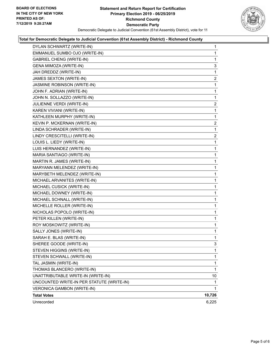

#### **Total for Democratic Delegate to Judicial Convention (61st Assembly District) - Richmond County**

| DYLAN SCHWARTZ (WRITE-IN)                 | $\mathbf{1}$            |
|-------------------------------------------|-------------------------|
| EMMANUEL SUMBO OJO (WRITE-IN)             | 1                       |
| <b>GABRIEL CHENG (WRITE-IN)</b>           | 1                       |
| GENA MIMOZA (WRITE-IN)                    | 3                       |
| JAH DREDDZ (WRITE-IN)                     | 1                       |
| JAMES SEXTON (WRITE-IN)                   | $\overline{c}$          |
| JASMINE ROBINSON (WRITE-IN)               | 1                       |
| JOHN F. ADRIAN (WRITE-IN)                 | 1                       |
| JOHN N. SOLLAZZO (WRITE-IN)               | 1                       |
| JULIENNE VERDI (WRITE-IN)                 | $\overline{a}$          |
| KAREN VIVIANI (WRITE-IN)                  | 1                       |
| KATHLEEN MURPHY (WRITE-IN)                | 1                       |
| KEVIN P. MCKERNAN (WRITE-IN)              | $\overline{\mathbf{c}}$ |
| LINDA SCHRADER (WRITE-IN)                 | 1                       |
| LINDY CRESCITELLI (WRITE-IN)              | $\overline{2}$          |
| LOUIS L. LIEDY (WRITE-IN)                 | 1                       |
| LUIS HERNANDEZ (WRITE-IN)                 | 1                       |
| MARIA SANTIAGO (WRITE-IN)                 | 1                       |
| MARTIN R. JAMES (WRITE-IN)                | 1                       |
| MARYANN MELENDEZ (WRITE-IN)               | 1                       |
| MARYBETH MELENDEZ (WRITE-IN)              | 1                       |
| MICHAEL ARVANITES (WRITE-IN)              | 1                       |
| MICHAEL CUSICK (WRITE-IN)                 | 1                       |
| MICHAEL DOWNEY (WRITE-IN)                 | 1                       |
| MICHAEL SCHNALL (WRITE-IN)                | 1                       |
| MICHELLE ROLLER (WRITE-IN)                | 1                       |
| NICHOLAS POPOLO (WRITE-IN)                | 1                       |
| PETER KILLEN (WRITE-IN)                   | 1                       |
| ROY MOSKOWITZ (WRITE-IN)                  | $\mathbf{1}$            |
| SALLY JONES (WRITE-IN)                    | 1                       |
| SARAH E. BLAS (WRITE-IN)                  | 1                       |
| SHEREE GOODE (WRITE-IN)                   | 3                       |
| STEVEN HIGGINS (WRITE-IN)                 | 1                       |
| STEVEN SCHWALL (WRITE-IN)                 | 1                       |
| TAL JASMIN (WRITE-IN)                     | 1                       |
| THOMAS BLANCERO (WRITE-IN)                | 1                       |
| UNATTRIBUTABLE WRITE-IN (WRITE-IN)        | 10                      |
| UNCOUNTED WRITE-IN PER STATUTE (WRITE-IN) | 1                       |
| VERONICA GAMBON (WRITE-IN)                | 1                       |
| <b>Total Votes</b>                        | 10,726                  |
| Unrecorded                                | 6,225                   |